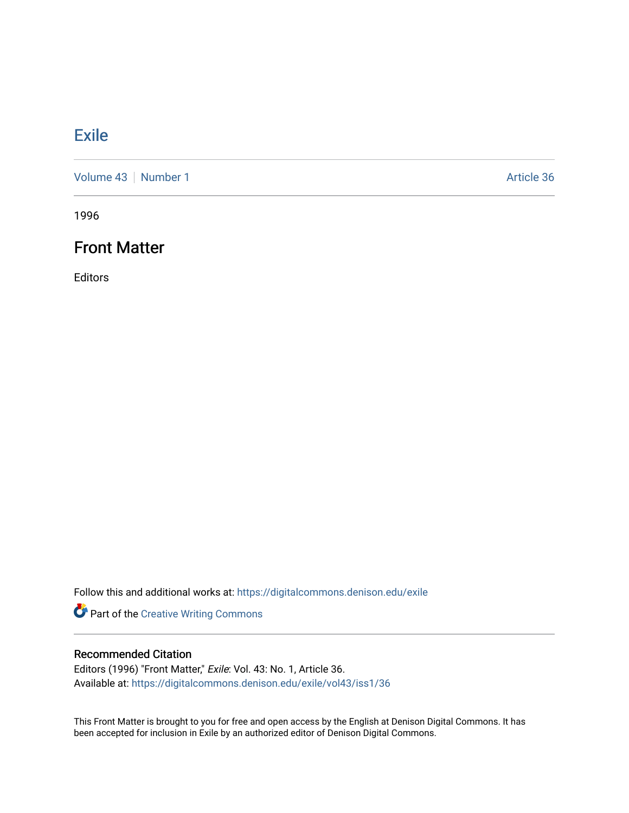### **[Exile](https://digitalcommons.denison.edu/exile)**

[Volume 43](https://digitalcommons.denison.edu/exile/vol43) | [Number 1](https://digitalcommons.denison.edu/exile/vol43/iss1) Article 36

1996

### Front Matter

Editors

Follow this and additional works at: [https://digitalcommons.denison.edu/exile](https://digitalcommons.denison.edu/exile?utm_source=digitalcommons.denison.edu%2Fexile%2Fvol43%2Fiss1%2F36&utm_medium=PDF&utm_campaign=PDFCoverPages) 

Part of the [Creative Writing Commons](http://network.bepress.com/hgg/discipline/574?utm_source=digitalcommons.denison.edu%2Fexile%2Fvol43%2Fiss1%2F36&utm_medium=PDF&utm_campaign=PDFCoverPages) 

#### Recommended Citation

Editors (1996) "Front Matter," Exile: Vol. 43: No. 1, Article 36. Available at: [https://digitalcommons.denison.edu/exile/vol43/iss1/36](https://digitalcommons.denison.edu/exile/vol43/iss1/36?utm_source=digitalcommons.denison.edu%2Fexile%2Fvol43%2Fiss1%2F36&utm_medium=PDF&utm_campaign=PDFCoverPages)

This Front Matter is brought to you for free and open access by the English at Denison Digital Commons. It has been accepted for inclusion in Exile by an authorized editor of Denison Digital Commons.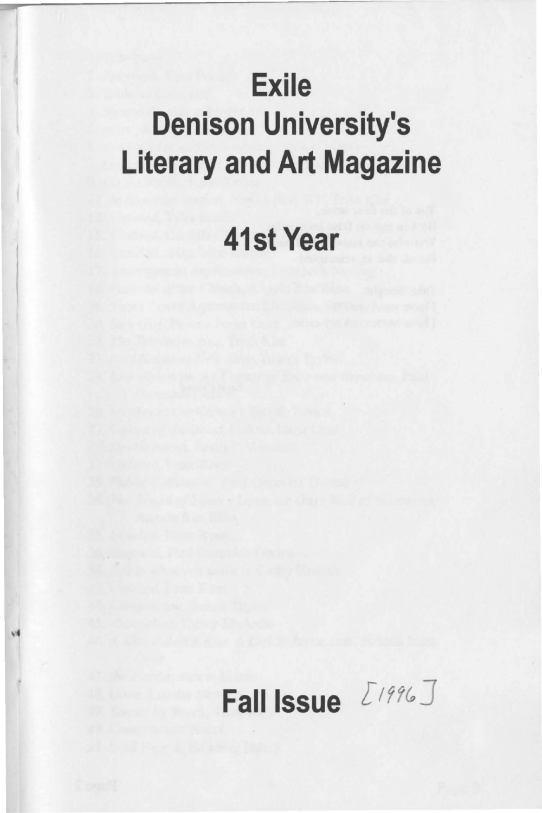## **Exile** Denison University's Literary and Art Magazine

## 41st Year

# Fall Issue *[1996]*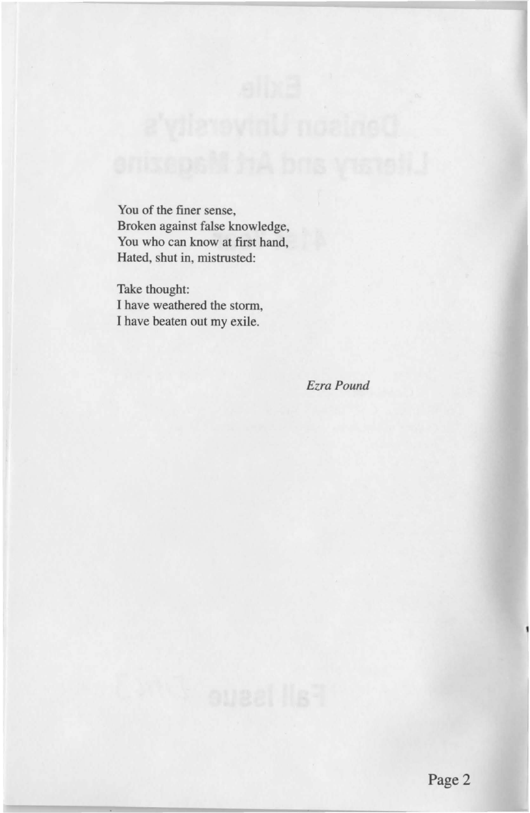You of the finer sense, Broken against false knowledge, You who can know at first hand, Hated, shut in, mistrusted:

Take thought: I have weathered the storm, I have beaten out my exile.

*Ezra Pound*